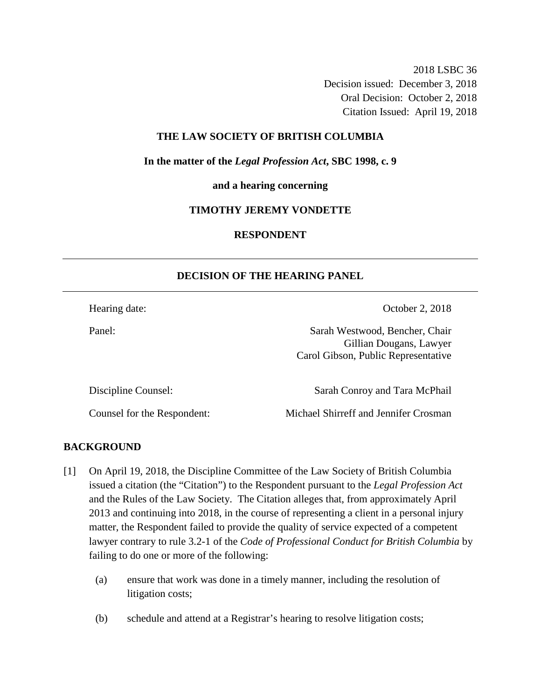2018 LSBC 36 Decision issued: December 3, 2018 Oral Decision: October 2, 2018 Citation Issued: April 19, 2018

#### **THE LAW SOCIETY OF BRITISH COLUMBIA**

**In the matter of the** *Legal Profession Act***, SBC 1998, c. 9** 

**and a hearing concerning**

#### **TIMOTHY JEREMY VONDETTE**

# **RESPONDENT**

## **DECISION OF THE HEARING PANEL**

Hearing date: Corober 2, 2018

Panel: Sarah Westwood, Bencher, Chair Gillian Dougans, Lawyer Carol Gibson, Public Representative

Discipline Counsel: Sarah Conroy and Tara McPhail

Counsel for the Respondent: Michael Shirreff and Jennifer Crosman

## **BACKGROUND**

- [1] On April 19, 2018, the Discipline Committee of the Law Society of British Columbia issued a citation (the "Citation") to the Respondent pursuant to the *Legal Profession Act* and the Rules of the Law Society. The Citation alleges that, from approximately April 2013 and continuing into 2018, in the course of representing a client in a personal injury matter, the Respondent failed to provide the quality of service expected of a competent lawyer contrary to rule 3.2-1 of the *Code of Professional Conduct for British Columbia* by failing to do one or more of the following:
	- (a) ensure that work was done in a timely manner, including the resolution of litigation costs;
	- (b) schedule and attend at a Registrar's hearing to resolve litigation costs;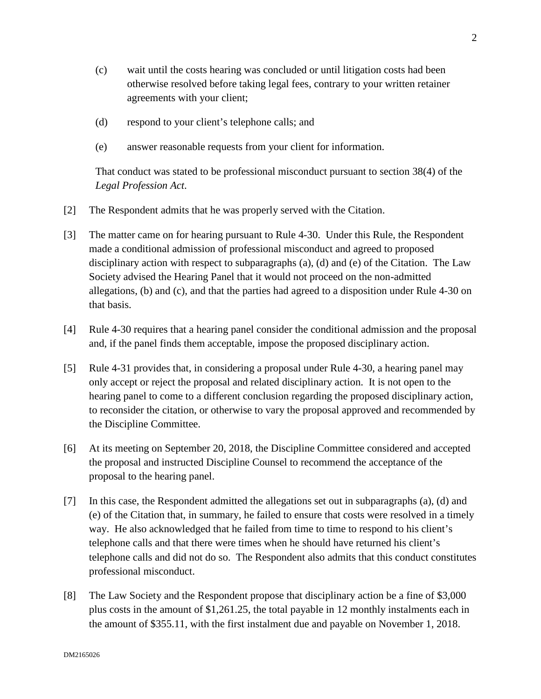- (c) wait until the costs hearing was concluded or until litigation costs had been otherwise resolved before taking legal fees, contrary to your written retainer agreements with your client;
- (d) respond to your client's telephone calls; and
- (e) answer reasonable requests from your client for information.

That conduct was stated to be professional misconduct pursuant to section 38(4) of the *Legal Profession Act*.

- [2] The Respondent admits that he was properly served with the Citation.
- [3] The matter came on for hearing pursuant to Rule 4-30. Under this Rule, the Respondent made a conditional admission of professional misconduct and agreed to proposed disciplinary action with respect to subparagraphs (a), (d) and (e) of the Citation. The Law Society advised the Hearing Panel that it would not proceed on the non-admitted allegations, (b) and (c), and that the parties had agreed to a disposition under Rule 4-30 on that basis.
- [4] Rule 4-30 requires that a hearing panel consider the conditional admission and the proposal and, if the panel finds them acceptable, impose the proposed disciplinary action.
- [5] Rule 4-31 provides that, in considering a proposal under Rule 4-30, a hearing panel may only accept or reject the proposal and related disciplinary action. It is not open to the hearing panel to come to a different conclusion regarding the proposed disciplinary action, to reconsider the citation, or otherwise to vary the proposal approved and recommended by the Discipline Committee.
- [6] At its meeting on September 20, 2018, the Discipline Committee considered and accepted the proposal and instructed Discipline Counsel to recommend the acceptance of the proposal to the hearing panel.
- [7] In this case, the Respondent admitted the allegations set out in subparagraphs (a), (d) and (e) of the Citation that, in summary, he failed to ensure that costs were resolved in a timely way. He also acknowledged that he failed from time to time to respond to his client's telephone calls and that there were times when he should have returned his client's telephone calls and did not do so. The Respondent also admits that this conduct constitutes professional misconduct.
- [8] The Law Society and the Respondent propose that disciplinary action be a fine of \$3,000 plus costs in the amount of \$1,261.25, the total payable in 12 monthly instalments each in the amount of \$355.11, with the first instalment due and payable on November 1, 2018.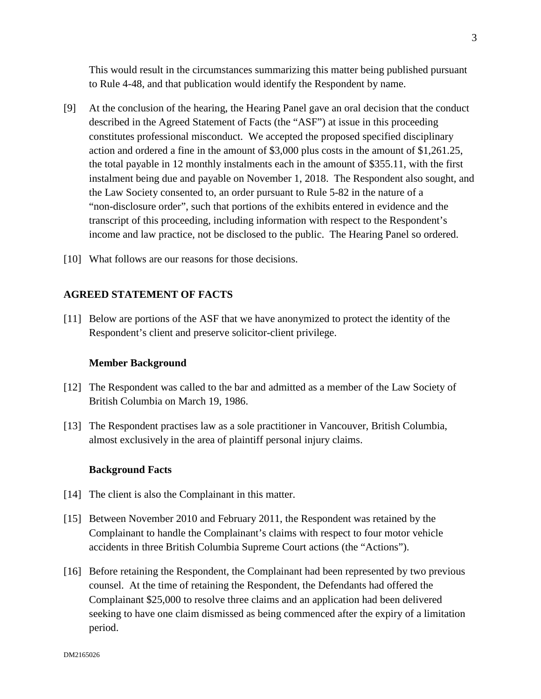This would result in the circumstances summarizing this matter being published pursuant to Rule 4-48, and that publication would identify the Respondent by name.

- [9] At the conclusion of the hearing, the Hearing Panel gave an oral decision that the conduct described in the Agreed Statement of Facts (the "ASF") at issue in this proceeding constitutes professional misconduct. We accepted the proposed specified disciplinary action and ordered a fine in the amount of \$3,000 plus costs in the amount of \$1,261.25, the total payable in 12 monthly instalments each in the amount of \$355.11, with the first instalment being due and payable on November 1, 2018. The Respondent also sought, and the Law Society consented to, an order pursuant to Rule 5-82 in the nature of a "non-disclosure order", such that portions of the exhibits entered in evidence and the transcript of this proceeding, including information with respect to the Respondent's income and law practice, not be disclosed to the public. The Hearing Panel so ordered.
- [10] What follows are our reasons for those decisions.

#### **AGREED STATEMENT OF FACTS**

[11] Below are portions of the ASF that we have anonymized to protect the identity of the Respondent's client and preserve solicitor-client privilege.

#### **Member Background**

- [12] The Respondent was called to the bar and admitted as a member of the Law Society of British Columbia on March 19, 1986.
- [13] The Respondent practises law as a sole practitioner in Vancouver, British Columbia, almost exclusively in the area of plaintiff personal injury claims.

#### **Background Facts**

- [14] The client is also the Complainant in this matter.
- [15] Between November 2010 and February 2011, the Respondent was retained by the Complainant to handle the Complainant's claims with respect to four motor vehicle accidents in three British Columbia Supreme Court actions (the "Actions").
- [16] Before retaining the Respondent, the Complainant had been represented by two previous counsel. At the time of retaining the Respondent, the Defendants had offered the Complainant \$25,000 to resolve three claims and an application had been delivered seeking to have one claim dismissed as being commenced after the expiry of a limitation period.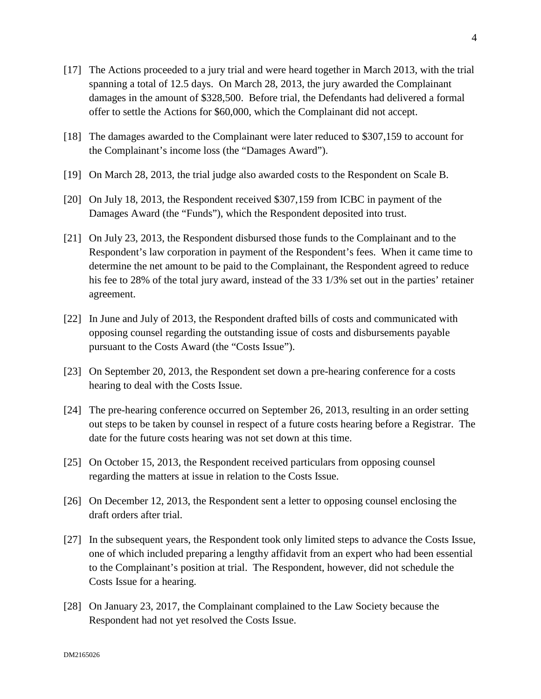- [17] The Actions proceeded to a jury trial and were heard together in March 2013, with the trial spanning a total of 12.5 days. On March 28, 2013, the jury awarded the Complainant damages in the amount of \$328,500. Before trial, the Defendants had delivered a formal offer to settle the Actions for \$60,000, which the Complainant did not accept.
- [18] The damages awarded to the Complainant were later reduced to \$307,159 to account for the Complainant's income loss (the "Damages Award").
- [19] On March 28, 2013, the trial judge also awarded costs to the Respondent on Scale B.
- [20] On July 18, 2013, the Respondent received \$307,159 from ICBC in payment of the Damages Award (the "Funds"), which the Respondent deposited into trust.
- [21] On July 23, 2013, the Respondent disbursed those funds to the Complainant and to the Respondent's law corporation in payment of the Respondent's fees. When it came time to determine the net amount to be paid to the Complainant, the Respondent agreed to reduce his fee to 28% of the total jury award, instead of the 33 1/3% set out in the parties' retainer agreement.
- [22] In June and July of 2013, the Respondent drafted bills of costs and communicated with opposing counsel regarding the outstanding issue of costs and disbursements payable pursuant to the Costs Award (the "Costs Issue").
- [23] On September 20, 2013, the Respondent set down a pre-hearing conference for a costs hearing to deal with the Costs Issue.
- [24] The pre-hearing conference occurred on September 26, 2013, resulting in an order setting out steps to be taken by counsel in respect of a future costs hearing before a Registrar. The date for the future costs hearing was not set down at this time.
- [25] On October 15, 2013, the Respondent received particulars from opposing counsel regarding the matters at issue in relation to the Costs Issue.
- [26] On December 12, 2013, the Respondent sent a letter to opposing counsel enclosing the draft orders after trial.
- [27] In the subsequent years, the Respondent took only limited steps to advance the Costs Issue, one of which included preparing a lengthy affidavit from an expert who had been essential to the Complainant's position at trial. The Respondent, however, did not schedule the Costs Issue for a hearing.
- [28] On January 23, 2017, the Complainant complained to the Law Society because the Respondent had not yet resolved the Costs Issue.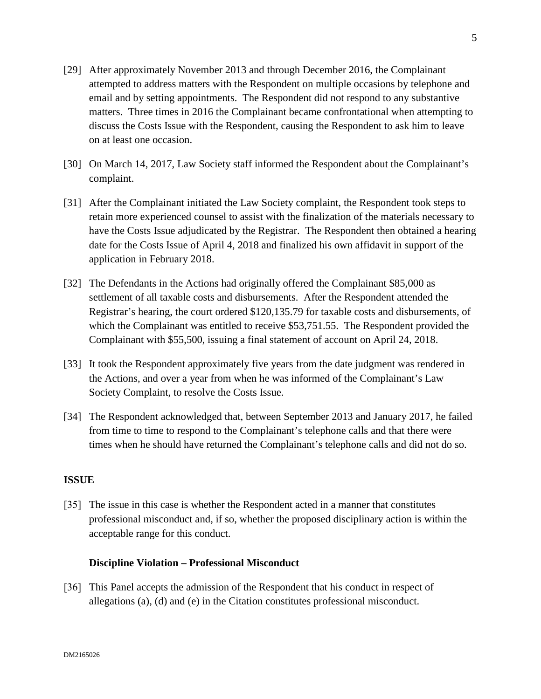- [29] After approximately November 2013 and through December 2016, the Complainant attempted to address matters with the Respondent on multiple occasions by telephone and email and by setting appointments. The Respondent did not respond to any substantive matters. Three times in 2016 the Complainant became confrontational when attempting to discuss the Costs Issue with the Respondent, causing the Respondent to ask him to leave on at least one occasion.
- [30] On March 14, 2017, Law Society staff informed the Respondent about the Complainant's complaint.
- [31] After the Complainant initiated the Law Society complaint, the Respondent took steps to retain more experienced counsel to assist with the finalization of the materials necessary to have the Costs Issue adjudicated by the Registrar. The Respondent then obtained a hearing date for the Costs Issue of April 4, 2018 and finalized his own affidavit in support of the application in February 2018.
- [32] The Defendants in the Actions had originally offered the Complainant \$85,000 as settlement of all taxable costs and disbursements. After the Respondent attended the Registrar's hearing, the court ordered \$120,135.79 for taxable costs and disbursements, of which the Complainant was entitled to receive \$53,751.55. The Respondent provided the Complainant with \$55,500, issuing a final statement of account on April 24, 2018.
- [33] It took the Respondent approximately five years from the date judgment was rendered in the Actions, and over a year from when he was informed of the Complainant's Law Society Complaint, to resolve the Costs Issue.
- [34] The Respondent acknowledged that, between September 2013 and January 2017, he failed from time to time to respond to the Complainant's telephone calls and that there were times when he should have returned the Complainant's telephone calls and did not do so.

# **ISSUE**

[35] The issue in this case is whether the Respondent acted in a manner that constitutes professional misconduct and, if so, whether the proposed disciplinary action is within the acceptable range for this conduct.

## **Discipline Violation – Professional Misconduct**

[36] This Panel accepts the admission of the Respondent that his conduct in respect of allegations (a), (d) and (e) in the Citation constitutes professional misconduct.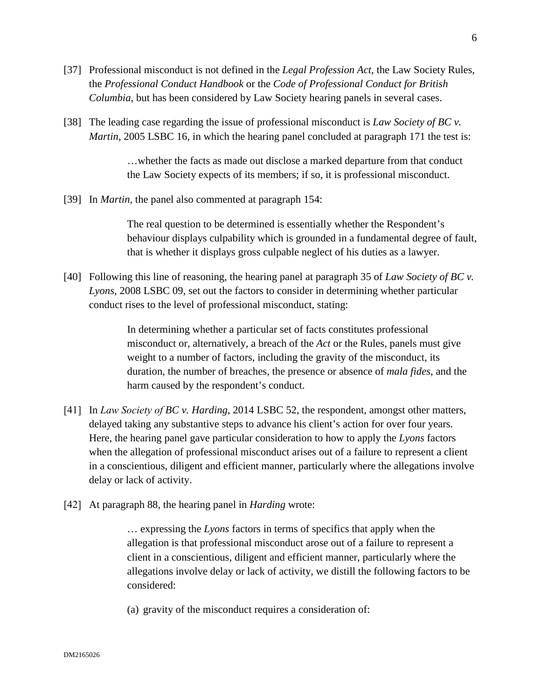- [37] Professional misconduct is not defined in the *Legal Profession Act*, the Law Society Rules, the *Professional Conduct Handbook* or the *Code of Professional Conduct for British Columbia*, but has been considered by Law Society hearing panels in several cases.
- [38] The leading case regarding the issue of professional misconduct is *Law Society of BC v. Martin*, 2005 LSBC 16, in which the hearing panel concluded at paragraph 171 the test is:

…whether the facts as made out disclose a marked departure from that conduct the Law Society expects of its members; if so, it is professional misconduct.

[39] In *Martin,* the panel also commented at paragraph 154:

The real question to be determined is essentially whether the Respondent's behaviour displays culpability which is grounded in a fundamental degree of fault, that is whether it displays gross culpable neglect of his duties as a lawyer.

[40] Following this line of reasoning, the hearing panel at paragraph 35 of *Law Society of BC v. Lyons*, 2008 LSBC 09, set out the factors to consider in determining whether particular conduct rises to the level of professional misconduct, stating:

> In determining whether a particular set of facts constitutes professional misconduct or, alternatively, a breach of the *Act* or the Rules, panels must give weight to a number of factors, including the gravity of the misconduct, its duration, the number of breaches, the presence or absence of *mala fides*, and the harm caused by the respondent's conduct.

- [41] In *Law Society of BC v. Harding*, 2014 LSBC 52, the respondent, amongst other matters, delayed taking any substantive steps to advance his client's action for over four years. Here, the hearing panel gave particular consideration to how to apply the *Lyons* factors when the allegation of professional misconduct arises out of a failure to represent a client in a conscientious, diligent and efficient manner, particularly where the allegations involve delay or lack of activity.
- [42] At paragraph 88, the hearing panel in *Harding* wrote:

… expressing the *Lyons* factors in terms of specifics that apply when the allegation is that professional misconduct arose out of a failure to represent a client in a conscientious, diligent and efficient manner, particularly where the allegations involve delay or lack of activity, we distill the following factors to be considered:

(a) gravity of the misconduct requires a consideration of: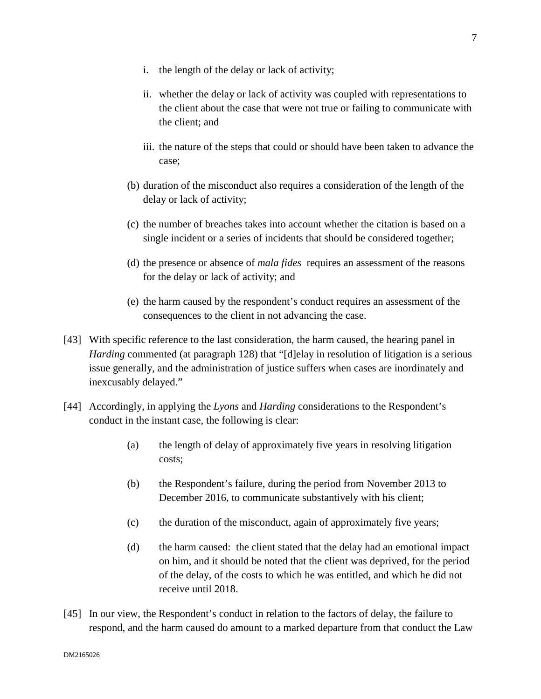- i. the length of the delay or lack of activity;
- ii. whether the delay or lack of activity was coupled with representations to the client about the case that were not true or failing to communicate with the client; and
- iii. the nature of the steps that could or should have been taken to advance the case;
- (b) duration of the misconduct also requires a consideration of the length of the delay or lack of activity;
- (c) the number of breaches takes into account whether the citation is based on a single incident or a series of incidents that should be considered together;
- (d) the presence or absence of *mala fides* requires an assessment of the reasons for the delay or lack of activity; and
- (e) the harm caused by the respondent's conduct requires an assessment of the consequences to the client in not advancing the case.
- [43] With specific reference to the last consideration, the harm caused, the hearing panel in *Harding* commented (at paragraph 128) that "[d]elay in resolution of litigation is a serious issue generally, and the administration of justice suffers when cases are inordinately and inexcusably delayed."
- [44] Accordingly, in applying the *Lyons* and *Harding* considerations to the Respondent's conduct in the instant case, the following is clear:
	- (a) the length of delay of approximately five years in resolving litigation costs;
	- (b) the Respondent's failure, during the period from November 2013 to December 2016, to communicate substantively with his client;
	- (c) the duration of the misconduct, again of approximately five years;
	- (d) the harm caused: the client stated that the delay had an emotional impact on him, and it should be noted that the client was deprived, for the period of the delay, of the costs to which he was entitled, and which he did not receive until 2018.
- [45] In our view, the Respondent's conduct in relation to the factors of delay, the failure to respond, and the harm caused do amount to a marked departure from that conduct the Law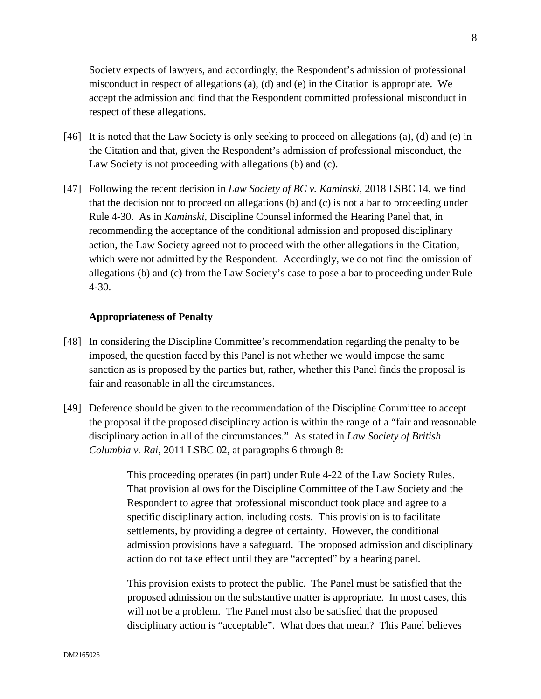Society expects of lawyers, and accordingly, the Respondent's admission of professional misconduct in respect of allegations (a), (d) and (e) in the Citation is appropriate. We accept the admission and find that the Respondent committed professional misconduct in respect of these allegations.

- [46] It is noted that the Law Society is only seeking to proceed on allegations (a), (d) and (e) in the Citation and that, given the Respondent's admission of professional misconduct, the Law Society is not proceeding with allegations (b) and (c).
- [47] Following the recent decision in *Law Society of BC v. Kaminski*, 2018 LSBC 14, we find that the decision not to proceed on allegations (b) and (c) is not a bar to proceeding under Rule 4-30. As in *Kaminski*, Discipline Counsel informed the Hearing Panel that, in recommending the acceptance of the conditional admission and proposed disciplinary action, the Law Society agreed not to proceed with the other allegations in the Citation, which were not admitted by the Respondent. Accordingly, we do not find the omission of allegations (b) and (c) from the Law Society's case to pose a bar to proceeding under Rule 4-30.

#### **Appropriateness of Penalty**

- [48] In considering the Discipline Committee's recommendation regarding the penalty to be imposed, the question faced by this Panel is not whether we would impose the same sanction as is proposed by the parties but, rather, whether this Panel finds the proposal is fair and reasonable in all the circumstances.
- [49] Deference should be given to the recommendation of the Discipline Committee to accept the proposal if the proposed disciplinary action is within the range of a "fair and reasonable disciplinary action in all of the circumstances." As stated in *Law Society of British Columbia v. Rai*, 2011 LSBC 02, at paragraphs 6 through 8:

This proceeding operates (in part) under Rule 4-22 of the Law Society Rules. That provision allows for the Discipline Committee of the Law Society and the Respondent to agree that professional misconduct took place and agree to a specific disciplinary action, including costs. This provision is to facilitate settlements, by providing a degree of certainty. However, the conditional admission provisions have a safeguard. The proposed admission and disciplinary action do not take effect until they are "accepted" by a hearing panel.

This provision exists to protect the public. The Panel must be satisfied that the proposed admission on the substantive matter is appropriate. In most cases, this will not be a problem. The Panel must also be satisfied that the proposed disciplinary action is "acceptable". What does that mean? This Panel believes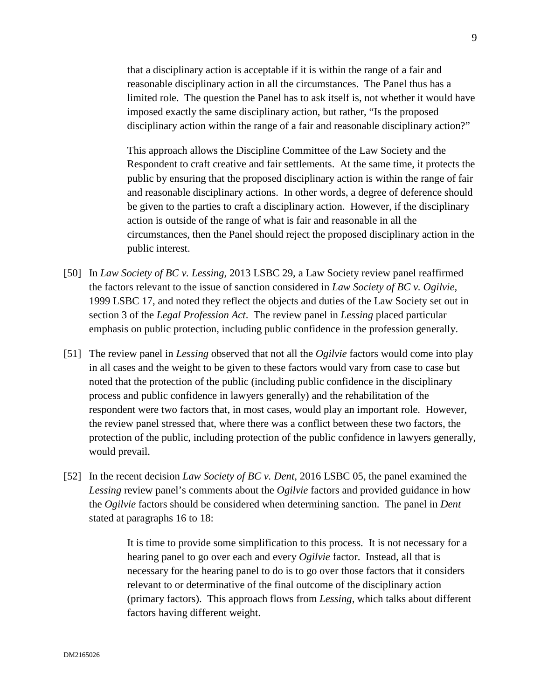that a disciplinary action is acceptable if it is within the range of a fair and reasonable disciplinary action in all the circumstances. The Panel thus has a limited role. The question the Panel has to ask itself is, not whether it would have imposed exactly the same disciplinary action, but rather, "Is the proposed disciplinary action within the range of a fair and reasonable disciplinary action?"

This approach allows the Discipline Committee of the Law Society and the Respondent to craft creative and fair settlements. At the same time, it protects the public by ensuring that the proposed disciplinary action is within the range of fair and reasonable disciplinary actions. In other words, a degree of deference should be given to the parties to craft a disciplinary action. However, if the disciplinary action is outside of the range of what is fair and reasonable in all the circumstances, then the Panel should reject the proposed disciplinary action in the public interest.

- [50] In *Law Society of BC v. Lessing,* 2013 LSBC 29, a Law Society review panel reaffirmed the factors relevant to the issue of sanction considered in *Law Society of BC v. Ogilvie,* 1999 LSBC 17, and noted they reflect the objects and duties of the Law Society set out in section 3 of the *Legal Profession Act*. The review panel in *Lessing* placed particular emphasis on public protection, including public confidence in the profession generally.
- [51] The review panel in *Lessing* observed that not all the *Ogilvie* factors would come into play in all cases and the weight to be given to these factors would vary from case to case but noted that the protection of the public (including public confidence in the disciplinary process and public confidence in lawyers generally) and the rehabilitation of the respondent were two factors that, in most cases, would play an important role. However, the review panel stressed that, where there was a conflict between these two factors, the protection of the public, including protection of the public confidence in lawyers generally, would prevail.
- [52] In the recent decision *Law Society of BC v. Dent*, 2016 LSBC 05, the panel examined the *Lessing* review panel's comments about the *Ogilvie* factors and provided guidance in how the *Ogilvie* factors should be considered when determining sanction. The panel in *Dent* stated at paragraphs 16 to 18:

It is time to provide some simplification to this process. It is not necessary for a hearing panel to go over each and every *Ogilvie* factor. Instead, all that is necessary for the hearing panel to do is to go over those factors that it considers relevant to or determinative of the final outcome of the disciplinary action (primary factors). This approach flows from *Lessing*, which talks about different factors having different weight.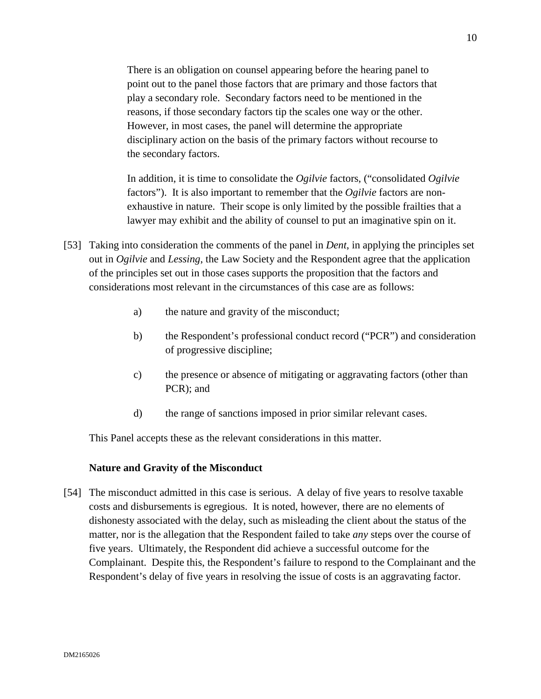There is an obligation on counsel appearing before the hearing panel to point out to the panel those factors that are primary and those factors that play a secondary role. Secondary factors need to be mentioned in the reasons, if those secondary factors tip the scales one way or the other. However, in most cases, the panel will determine the appropriate disciplinary action on the basis of the primary factors without recourse to the secondary factors.

In addition, it is time to consolidate the *Ogilvie* factors, ("consolidated *Ogilvie* factors"). It is also important to remember that the *Ogilvie* factors are nonexhaustive in nature. Their scope is only limited by the possible frailties that a lawyer may exhibit and the ability of counsel to put an imaginative spin on it.

- [53] Taking into consideration the comments of the panel in *Dent*, in applying the principles set out in *Ogilvie* and *Lessing*, the Law Society and the Respondent agree that the application of the principles set out in those cases supports the proposition that the factors and considerations most relevant in the circumstances of this case are as follows:
	- a) the nature and gravity of the misconduct;
	- b) the Respondent's professional conduct record ("PCR") and consideration of progressive discipline;
	- c) the presence or absence of mitigating or aggravating factors (other than PCR); and
	- d) the range of sanctions imposed in prior similar relevant cases.

This Panel accepts these as the relevant considerations in this matter.

## **Nature and Gravity of the Misconduct**

[54] The misconduct admitted in this case is serious. A delay of five years to resolve taxable costs and disbursements is egregious. It is noted, however, there are no elements of dishonesty associated with the delay, such as misleading the client about the status of the matter, nor is the allegation that the Respondent failed to take *any* steps over the course of five years. Ultimately, the Respondent did achieve a successful outcome for the Complainant. Despite this, the Respondent's failure to respond to the Complainant and the Respondent's delay of five years in resolving the issue of costs is an aggravating factor.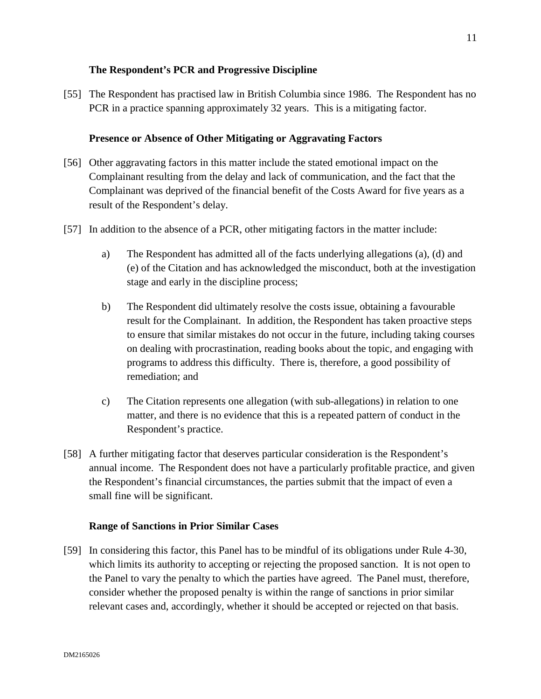## **The Respondent's PCR and Progressive Discipline**

[55] The Respondent has practised law in British Columbia since 1986. The Respondent has no PCR in a practice spanning approximately 32 years. This is a mitigating factor.

# **Presence or Absence of Other Mitigating or Aggravating Factors**

- [56] Other aggravating factors in this matter include the stated emotional impact on the Complainant resulting from the delay and lack of communication, and the fact that the Complainant was deprived of the financial benefit of the Costs Award for five years as a result of the Respondent's delay.
- [57] In addition to the absence of a PCR, other mitigating factors in the matter include:
	- a) The Respondent has admitted all of the facts underlying allegations (a), (d) and (e) of the Citation and has acknowledged the misconduct, both at the investigation stage and early in the discipline process;
	- b) The Respondent did ultimately resolve the costs issue, obtaining a favourable result for the Complainant. In addition, the Respondent has taken proactive steps to ensure that similar mistakes do not occur in the future, including taking courses on dealing with procrastination, reading books about the topic, and engaging with programs to address this difficulty. There is, therefore, a good possibility of remediation; and
	- c) The Citation represents one allegation (with sub-allegations) in relation to one matter, and there is no evidence that this is a repeated pattern of conduct in the Respondent's practice.
- [58] A further mitigating factor that deserves particular consideration is the Respondent's annual income. The Respondent does not have a particularly profitable practice, and given the Respondent's financial circumstances, the parties submit that the impact of even a small fine will be significant.

## **Range of Sanctions in Prior Similar Cases**

[59] In considering this factor, this Panel has to be mindful of its obligations under Rule 4-30, which limits its authority to accepting or rejecting the proposed sanction. It is not open to the Panel to vary the penalty to which the parties have agreed. The Panel must, therefore, consider whether the proposed penalty is within the range of sanctions in prior similar relevant cases and, accordingly, whether it should be accepted or rejected on that basis.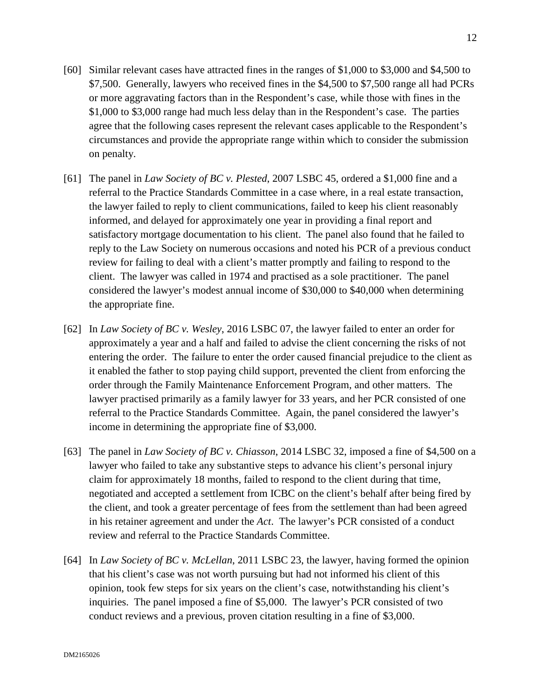- [60] Similar relevant cases have attracted fines in the ranges of \$1,000 to \$3,000 and \$4,500 to \$7,500. Generally, lawyers who received fines in the \$4,500 to \$7,500 range all had PCRs or more aggravating factors than in the Respondent's case, while those with fines in the \$1,000 to \$3,000 range had much less delay than in the Respondent's case. The parties agree that the following cases represent the relevant cases applicable to the Respondent's circumstances and provide the appropriate range within which to consider the submission on penalty.
- [61] The panel in *Law Society of BC v. Plested*, 2007 LSBC 45, ordered a \$1,000 fine and a referral to the Practice Standards Committee in a case where, in a real estate transaction, the lawyer failed to reply to client communications, failed to keep his client reasonably informed, and delayed for approximately one year in providing a final report and satisfactory mortgage documentation to his client. The panel also found that he failed to reply to the Law Society on numerous occasions and noted his PCR of a previous conduct review for failing to deal with a client's matter promptly and failing to respond to the client. The lawyer was called in 1974 and practised as a sole practitioner. The panel considered the lawyer's modest annual income of \$30,000 to \$40,000 when determining the appropriate fine.
- [62] In *Law Society of BC v. Wesley*, 2016 LSBC 07, the lawyer failed to enter an order for approximately a year and a half and failed to advise the client concerning the risks of not entering the order. The failure to enter the order caused financial prejudice to the client as it enabled the father to stop paying child support, prevented the client from enforcing the order through the Family Maintenance Enforcement Program, and other matters. The lawyer practised primarily as a family lawyer for 33 years, and her PCR consisted of one referral to the Practice Standards Committee. Again, the panel considered the lawyer's income in determining the appropriate fine of \$3,000.
- [63] The panel in *Law Society of BC v. Chiasson*, 2014 LSBC 32, imposed a fine of \$4,500 on a lawyer who failed to take any substantive steps to advance his client's personal injury claim for approximately 18 months, failed to respond to the client during that time, negotiated and accepted a settlement from ICBC on the client's behalf after being fired by the client, and took a greater percentage of fees from the settlement than had been agreed in his retainer agreement and under the *Act*. The lawyer's PCR consisted of a conduct review and referral to the Practice Standards Committee.
- [64] In *Law Society of BC v. McLellan*, 2011 LSBC 23, the lawyer, having formed the opinion that his client's case was not worth pursuing but had not informed his client of this opinion, took few steps for six years on the client's case, notwithstanding his client's inquiries. The panel imposed a fine of \$5,000. The lawyer's PCR consisted of two conduct reviews and a previous, proven citation resulting in a fine of \$3,000.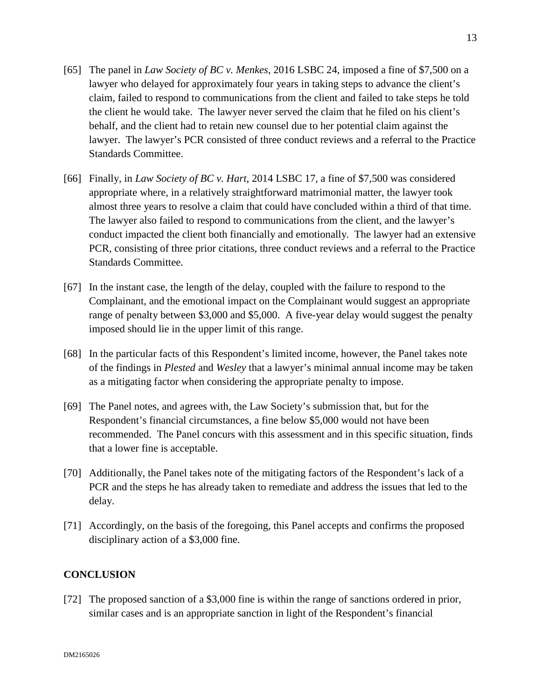- [65] The panel in *Law Society of BC v. Menkes*, 2016 LSBC 24, imposed a fine of \$7,500 on a lawyer who delayed for approximately four years in taking steps to advance the client's claim, failed to respond to communications from the client and failed to take steps he told the client he would take. The lawyer never served the claim that he filed on his client's behalf, and the client had to retain new counsel due to her potential claim against the lawyer. The lawyer's PCR consisted of three conduct reviews and a referral to the Practice Standards Committee.
- [66] Finally, in *Law Society of BC v. Hart*, 2014 LSBC 17, a fine of \$7,500 was considered appropriate where, in a relatively straightforward matrimonial matter, the lawyer took almost three years to resolve a claim that could have concluded within a third of that time. The lawyer also failed to respond to communications from the client, and the lawyer's conduct impacted the client both financially and emotionally. The lawyer had an extensive PCR, consisting of three prior citations, three conduct reviews and a referral to the Practice Standards Committee.
- [67] In the instant case, the length of the delay, coupled with the failure to respond to the Complainant, and the emotional impact on the Complainant would suggest an appropriate range of penalty between \$3,000 and \$5,000. A five-year delay would suggest the penalty imposed should lie in the upper limit of this range.
- [68] In the particular facts of this Respondent's limited income, however, the Panel takes note of the findings in *Plested* and *Wesley* that a lawyer's minimal annual income may be taken as a mitigating factor when considering the appropriate penalty to impose.
- [69] The Panel notes, and agrees with, the Law Society's submission that, but for the Respondent's financial circumstances, a fine below \$5,000 would not have been recommended. The Panel concurs with this assessment and in this specific situation, finds that a lower fine is acceptable.
- [70] Additionally, the Panel takes note of the mitigating factors of the Respondent's lack of a PCR and the steps he has already taken to remediate and address the issues that led to the delay.
- [71] Accordingly, on the basis of the foregoing, this Panel accepts and confirms the proposed disciplinary action of a \$3,000 fine.

# **CONCLUSION**

[72] The proposed sanction of a \$3,000 fine is within the range of sanctions ordered in prior, similar cases and is an appropriate sanction in light of the Respondent's financial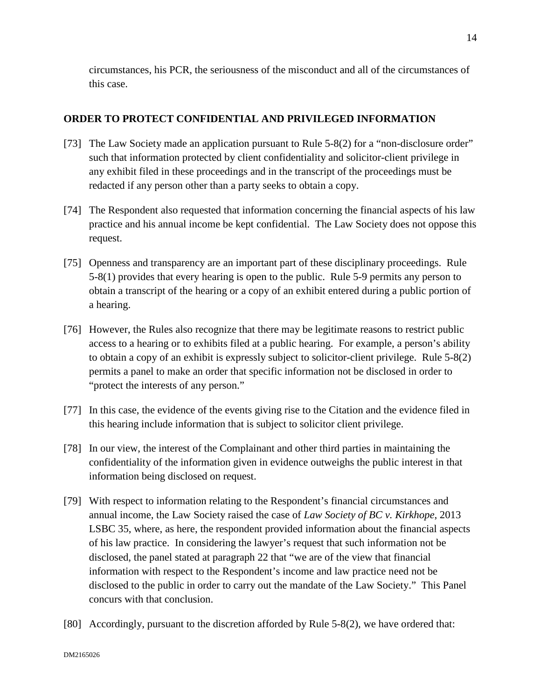circumstances, his PCR, the seriousness of the misconduct and all of the circumstances of this case.

# **ORDER TO PROTECT CONFIDENTIAL AND PRIVILEGED INFORMATION**

- [73] The Law Society made an application pursuant to Rule 5-8(2) for a "non-disclosure order" such that information protected by client confidentiality and solicitor-client privilege in any exhibit filed in these proceedings and in the transcript of the proceedings must be redacted if any person other than a party seeks to obtain a copy.
- [74] The Respondent also requested that information concerning the financial aspects of his law practice and his annual income be kept confidential. The Law Society does not oppose this request.
- [75] Openness and transparency are an important part of these disciplinary proceedings. Rule 5-8(1) provides that every hearing is open to the public. Rule 5-9 permits any person to obtain a transcript of the hearing or a copy of an exhibit entered during a public portion of a hearing.
- [76] However, the Rules also recognize that there may be legitimate reasons to restrict public access to a hearing or to exhibits filed at a public hearing. For example, a person's ability to obtain a copy of an exhibit is expressly subject to solicitor-client privilege. Rule 5-8(2) permits a panel to make an order that specific information not be disclosed in order to "protect the interests of any person."
- [77] In this case, the evidence of the events giving rise to the Citation and the evidence filed in this hearing include information that is subject to solicitor client privilege.
- [78] In our view, the interest of the Complainant and other third parties in maintaining the confidentiality of the information given in evidence outweighs the public interest in that information being disclosed on request.
- [79] With respect to information relating to the Respondent's financial circumstances and annual income, the Law Society raised the case of *Law Society of BC v. Kirkhope*, 2013 LSBC 35, where, as here, the respondent provided information about the financial aspects of his law practice. In considering the lawyer's request that such information not be disclosed, the panel stated at paragraph 22 that "we are of the view that financial information with respect to the Respondent's income and law practice need not be disclosed to the public in order to carry out the mandate of the Law Society." This Panel concurs with that conclusion.
- [80] Accordingly, pursuant to the discretion afforded by Rule 5-8(2), we have ordered that: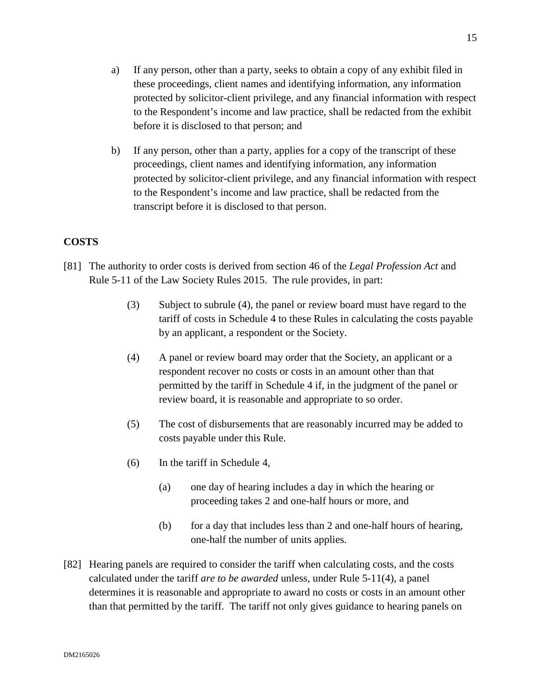- a) If any person, other than a party, seeks to obtain a copy of any exhibit filed in these proceedings, client names and identifying information, any information protected by solicitor-client privilege, and any financial information with respect to the Respondent's income and law practice, shall be redacted from the exhibit before it is disclosed to that person; and
- b) If any person, other than a party, applies for a copy of the transcript of these proceedings, client names and identifying information, any information protected by solicitor-client privilege, and any financial information with respect to the Respondent's income and law practice, shall be redacted from the transcript before it is disclosed to that person.

#### **COSTS**

- [81] The authority to order costs is derived from section 46 of the *Legal Profession Act* and Rule 5-11 of the Law Society Rules 2015. The rule provides, in part:
	- (3) Subject to subrule (4), the panel or review board must have regard to the tariff of costs in Schedule 4 to these Rules in calculating the costs payable by an applicant, a respondent or the Society.
	- (4) A panel or review board may order that the Society, an applicant or a respondent recover no costs or costs in an amount other than that permitted by the tariff in Schedule 4 if, in the judgment of the panel or review board, it is reasonable and appropriate to so order.
	- (5) The cost of disbursements that are reasonably incurred may be added to costs payable under this Rule.
	- (6) In the tariff in Schedule 4,
		- (a) one day of hearing includes a day in which the hearing or proceeding takes 2 and one-half hours or more, and
		- (b) for a day that includes less than 2 and one-half hours of hearing, one-half the number of units applies.
- [82] Hearing panels are required to consider the tariff when calculating costs, and the costs calculated under the tariff *are to be awarded* unless, under Rule 5-11(4), a panel determines it is reasonable and appropriate to award no costs or costs in an amount other than that permitted by the tariff. The tariff not only gives guidance to hearing panels on